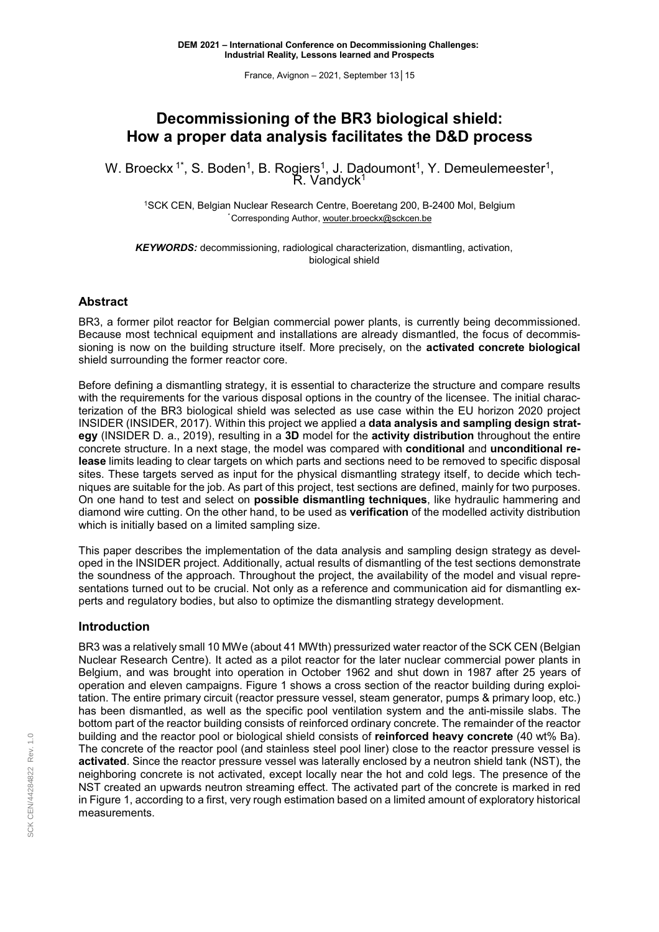France, Avignon – 2021, September 13│ 15

# **Decommissioning of the BR3 biological shield: How a proper data analysis facilitates the D&D process**

W. Broeckx 1ˆ, S. Boden<sup>1</sup>, B. Rogiers<sup>1</sup>, J. Dadoumont<sup>1</sup>, Y. Demeulemeester<sup>1</sup>, R. Vandyck<sup>1</sup>

<sup>1</sup>SCK CEN, Belgian Nuclear Research Centre, Boeretang 200, B-2400 Mol, Belgium *\** Corresponding Author, wouter.broeckx@sckcen.be

*KEYWORDS:* decommissioning, radiological characterization, dismantling, activation, biological shield

## **Abstract**

BR3, a former pilot reactor for Belgian commercial power plants, is currently being decommissioned. Because most technical equipment and installations are already dismantled, the focus of decommissioning is now on the building structure itself. More precisely, on the **activated concrete biological** shield surrounding the former reactor core.

Before defining a dismantling strategy, it is essential to characterize the structure and compare results with the requirements for the various disposal options in the country of the licensee. The initial characterization of the BR3 biological shield was selected as use case within the EU horizon 2020 project INSIDER (INSIDER, 2017). Within this project we applied a **data analysis and sampling design strategy** (INSIDER D. a., 2019), resulting in a **3D** model for the **activity distribution** throughout the entire concrete structure. In a next stage, the model was compared with **conditional** and **unconditional release** limits leading to clear targets on which parts and sections need to be removed to specific disposal sites. These targets served as input for the physical dismantling strategy itself, to decide which techniques are suitable for the job. As part of this project, test sections are defined, mainly for two purposes. On one hand to test and select on **possible dismantling techniques**, like hydraulic hammering and diamond wire cutting. On the other hand, to be used as **verification** of the modelled activity distribution which is initially based on a limited sampling size.

This paper describes the implementation of the data analysis and sampling design strategy as developed in the INSIDER project. Additionally, actual results of dismantling of the test sections demonstrate the soundness of the approach. Throughout the project, the availability of the model and visual representations turned out to be crucial. Not only as a reference and communication aid for dismantling experts and regulatory bodies, but also to optimize the dismantling strategy development.

## **Introduction**

BR3 was a relatively small 10 MWe (about 41 MWth) pressurized water reactor of the SCK CEN (Belgian Nuclear Research Centre). It acted as a pilot reactor for the later nuclear commercial power plants in Belgium, and was brought into operation in October 1962 and shut down in 1987 after 25 years of operation and eleven campaigns. Figure 1 shows a cross section of the reactor building during exploitation. The entire primary circuit (reactor pressure vessel, steam generator, pumps & primary loop, etc.) has been dismantled, as well as the specific pool ventilation system and the anti-missile slabs. The bottom part of the reactor building consists of reinforced ordinary concrete. The remainder of the reactor building and the reactor pool or biological shield consists of **reinforced heavy concrete** (40 wt% Ba). The concrete of the reactor pool (and stainless steel pool liner) close to the reactor pressure vessel is **activated**. Since the reactor pressure vessel was laterally enclosed by a neutron shield tank (NST), the neighboring concrete is not activated, except locally near the hot and cold legs. The presence of the NST created an upwards neutron streaming effect. The activated part of the concrete is marked in red in [Figure](#page-1-0) 1, according to a first, very rough estimation based on a limited amount of exploratory historical measurements.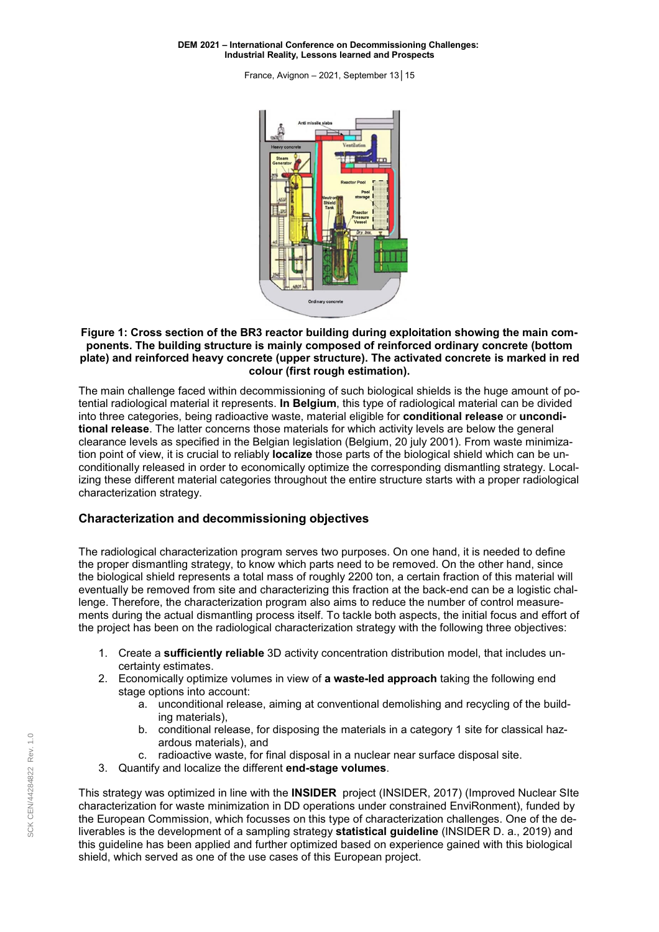<span id="page-1-0"></span>France, Avignon – 2021, September 13│ 15



### **Figure 1: Cross section of the BR3 reactor building during exploitation showing the main components. The building structure is mainly composed of reinforced ordinary concrete (bottom plate) and reinforced heavy concrete (upper structure). The activated concrete is marked in red colour (first rough estimation).**

The main challenge faced within decommissioning of such biological shields is the huge amount of potential radiological material it represents. **In Belgium**, this type of radiological material can be divided into three categories, being radioactive waste, material eligible for **conditional release** or **unconditional release**. The latter concerns those materials for which activity levels are below the general clearance levels as specified in the Belgian legislation (Belgium, 20 july 2001). From waste minimization point of view, it is crucial to reliably **localize** those parts of the biological shield which can be unconditionally released in order to economically optimize the corresponding dismantling strategy. Localizing these different material categories throughout the entire structure starts with a proper radiological characterization strategy.

## **Characterization and decommissioning objectives**

The radiological characterization program serves two purposes. On one hand, it is needed to define the proper dismantling strategy, to know which parts need to be removed. On the other hand, since the biological shield represents a total mass of roughly 2200 ton, a certain fraction of this material will eventually be removed from site and characterizing this fraction at the back-end can be a logistic challenge. Therefore, the characterization program also aims to reduce the number of control measurements during the actual dismantling process itself. To tackle both aspects, the initial focus and effort of the project has been on the radiological characterization strategy with the following three objectives:

- 1. Create a **sufficiently reliable** 3D activity concentration distribution model, that includes uncertainty estimates.
- 2. Economically optimize volumes in view of **a waste-led approach** taking the following end stage options into account:
	- a. unconditional release, aiming at conventional demolishing and recycling of the building materials),
	- b. conditional release, for disposing the materials in a category 1 site for classical hazardous materials), and
	- c. radioactive waste, for final disposal in a nuclear near surface disposal site.
- 3. Quantify and localize the different **end-stage volumes**.

This strategy was optimized in line with the **INSIDER** project (INSIDER, 2017) (Improved Nuclear SIte characterization for waste minimization in DD operations under constrained EnviRonment), funded by the European Commission, which focusses on this type of characterization challenges. One of the deliverables is the development of a sampling strategy **statistical guideline** (INSIDER D. a., 2019) and this guideline has been applied and further optimized based on experience gained with this biological shield, which served as one of the use cases of this European project.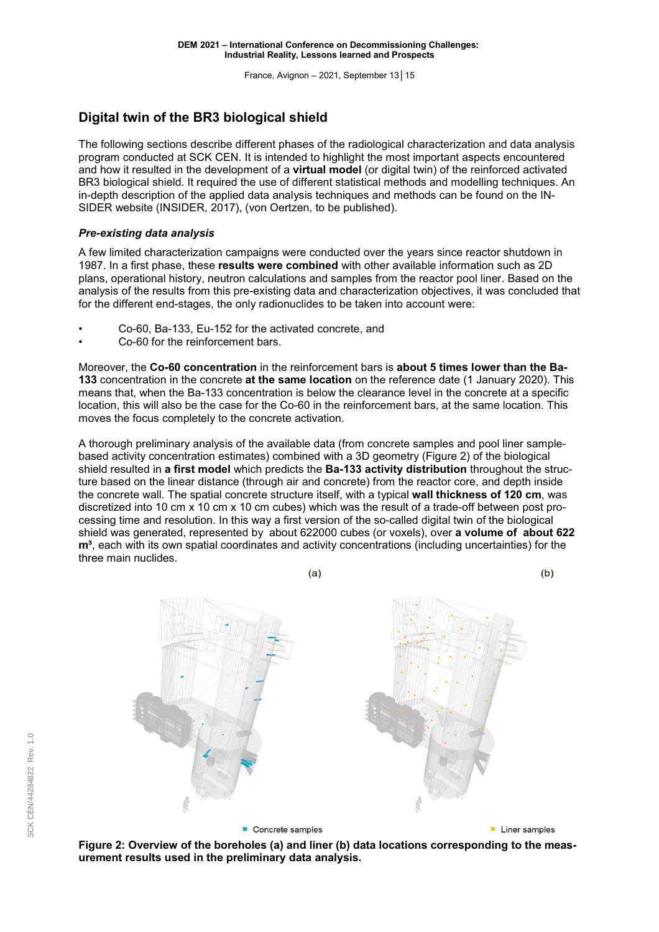France, Avignon – 2021, September 13│ 15

# <span id="page-2-0"></span>**Digital twin of the BR3 biological shield**

The following sections describe different phases of the radiological characterization and data analysis program conducted at SCK CEN. It is intended to highlight the most important aspects encountered and how it resulted in the development of a **virtual model** (or digital twin) of the reinforced activated BR3 biological shield. It required the use of different statistical methods and modelling techniques. An in-depth description of the applied data analysis techniques and methods can be found on the IN-SIDER website (INSIDER, 2017), (von Oertzen, to be published).

## *Pre-existing data analysis*

A few limited characterization campaigns were conducted over the years since reactor shutdown in 1987. In a first phase, these **results were combined** with other available information such as 2D plans, operational history, neutron calculations and samples from the reactor pool liner. Based on the analysis of the results from this pre-existing data and characterization objectives, it was concluded that for the different end-stages, the only radionuclides to be taken into account were:

- Co-60, Ba-133, Eu-152 for the activated concrete, and
- Co-60 for the reinforcement bars.

Moreover, the **Co-60 concentration** in the reinforcement bars is **about 5 times lower than the Ba-133** concentration in the concrete **at the same location** on the reference date (1 January 2020). This means that, when the Ba-133 concentration is below the clearance level in the concrete at a specific location, this will also be the case for the Co-60 in the reinforcement bars, at the same location. This moves the focus completely to the concrete activation.

A thorough preliminary analysis of the available data (from concrete samples and pool liner samplebased activity concentration estimates) combined with a 3D geometry (Figure 2) of the biological shield resulted in **a first model** which predicts the **Ba-133 activity distribution** throughout the structure based on the linear distance (through air and concrete) from the reactor core, and depth inside the concrete wall. The spatial concrete structure itself, with a typical **wall thickness of 120 cm**, was discretized into 10 cm x 10 cm x 10 cm cubes) which was the result of a trade-off between post processing time and resolution. In this way a first version of the so-called digital twin of the biological shield was generated, represented by about 622000 cubes (or voxels), over **a volume of about 622 m<sup>3</sup>**, each with its own spatial coordinates and activity concentrations (including uncertainties) for the three main nuclides.



**Figure 2: Overview of the boreholes (a) and liner (b) data locations corresponding to the measurement results used in the preliminary data analysis.**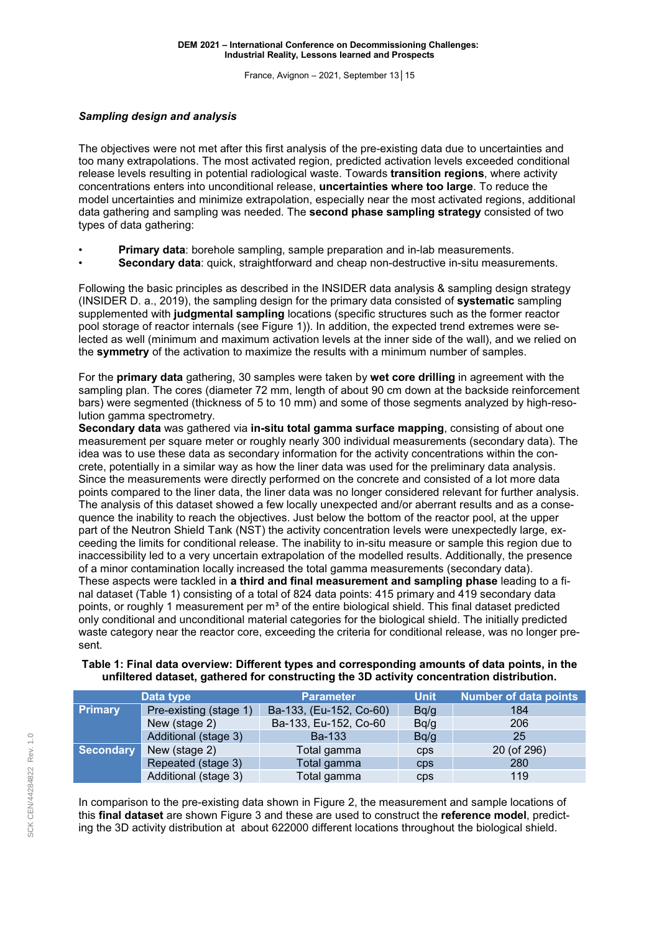France, Avignon – 2021, September 13│ 15

### *Sampling design and analysis*

The objectives were not met after this first analysis of the pre-existing data due to uncertainties and too many extrapolations. The most activated region, predicted activation levels exceeded conditional release levels resulting in potential radiological waste. Towards **transition regions**, where activity concentrations enters into unconditional release, **uncertainties where too large**. To reduce the model uncertainties and minimize extrapolation, especially near the most activated regions, additional data gathering and sampling was needed. The **second phase sampling strategy** consisted of two types of data gathering:

- **Primary data**: borehole sampling, sample preparation and in-lab measurements.
- **Secondary data**: quick, straightforward and cheap non-destructive in-situ measurements.

Following the basic principles as described in the INSIDER data analysis & sampling design strategy (INSIDER D. a., 2019), the sampling design for the primary data consisted of **systematic** sampling supplemented with **judgmental sampling** locations (specific structures such as the former reactor pool storage of reactor internals (see [Figure](#page-1-0) 1)). In addition, the expected trend extremes were selected as well (minimum and maximum activation levels at the inner side of the wall), and we relied on the **symmetry** of the activation to maximize the results with a minimum number of samples.

For the **primary data** gathering, 30 samples were taken by **wet core drilling** in agreement with the sampling plan. The cores (diameter 72 mm, length of about 90 cm down at the backside reinforcement bars) were segmented (thickness of 5 to 10 mm) and some of those segments analyzed by high-resolution gamma spectrometry.

**Secondary data** was gathered via **in-situ total gamma surface mapping**, consisting of about one measurement per square meter or roughly nearly 300 individual measurements (secondary data). The idea was to use these data as secondary information for the activity concentrations within the concrete, potentially in a similar way as how the liner data was used for the preliminary data analysis. Since the measurements were directly performed on the concrete and consisted of a lot more data points compared to the liner data, the liner data was no longer considered relevant for further analysis. The analysis of this dataset showed a few locally unexpected and/or aberrant results and as a consequence the inability to reach the objectives. Just below the bottom of the reactor pool, at the upper part of the Neutron Shield Tank (NST) the activity concentration levels were unexpectedly large, exceeding the limits for conditional release. The inability to in-situ measure or sample this region due to inaccessibility led to a very uncertain extrapolation of the modelled results. Additionally, the presence of a minor contamination locally increased the total gamma measurements (secondary data). These aspects were tackled in **a third and final measurement and sampling phase** leading to a final dataset (Table 1) consisting of a total of 824 data points: 415 primary and 419 secondary data points, or roughly 1 measurement per m<sup>3</sup> of the entire biological shield. This final dataset predicted only conditional and unconditional material categories for the biological shield. The initially predicted waste category near the reactor core, exceeding the criteria for conditional release, was no longer present.

### **Table 1: Final data overview: Different types and corresponding amounts of data points, in the unfiltered dataset, gathered for constructing the 3D activity concentration distribution.**

| Data type        |                        | <b>Parameter</b>        | <b>Unit</b> | <b>Number of data points</b> |
|------------------|------------------------|-------------------------|-------------|------------------------------|
| <b>Primary</b>   | Pre-existing (stage 1) | Ba-133, (Eu-152, Co-60) | Bq/q        | 184                          |
|                  | New (stage 2)          | Ba-133, Eu-152, Co-60   | Bq/q        | 206                          |
|                  | Additional (stage 3)   | <b>Ba-133</b>           | Bq/q        | 25                           |
| <b>Secondary</b> | New (stage 2)          | Total gamma             | <b>CDS</b>  | 20 (of 296)                  |
|                  | Repeated (stage 3)     | Total gamma             | <b>CDS</b>  | 280                          |
|                  | Additional (stage 3)   | Total gamma             | <b>CDS</b>  | 119                          |

In comparison to the pre-existing data shown in [Figure](#page-2-0) 2, the measurement and sample locations of this **final dataset** are shown [Figure](#page-4-0) 3 and these are used to construct the **reference model**, predicting the 3D activity distribution at about 622000 different locations throughout the biological shield.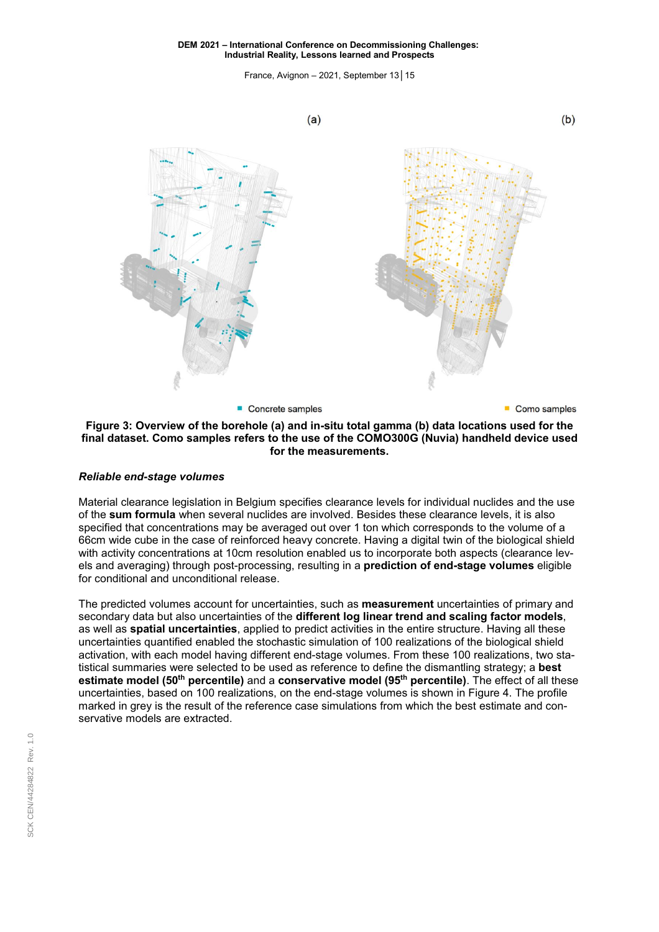France, Avignon – 2021, September 13│ 15

<span id="page-4-0"></span>

### **Figure 3: Overview of the borehole (a) and in-situ total gamma (b) data locations used for the final dataset. Como samples refers to the use of the COMO300G (Nuvia) handheld device used for the measurements.**

### *Reliable end-stage volumes*

Material clearance legislation in Belgium specifies clearance levels for individual nuclides and the use of the **sum formula** when several nuclides are involved. Besides these clearance levels, it is also specified that concentrations may be averaged out over 1 ton which corresponds to the volume of a 66cm wide cube in the case of reinforced heavy concrete. Having a digital twin of the biological shield with activity concentrations at 10cm resolution enabled us to incorporate both aspects (clearance levels and averaging) through post-processing, resulting in a **prediction of end-stage volumes** eligible for conditional and unconditional release.

The predicted volumes account for uncertainties, such as **measurement** uncertainties of primary and secondary data but also uncertainties of the **different log linear trend and scaling factor models**, as well as **spatial uncertainties**, applied to predict activities in the entire structure. Having all these uncertainties quantified enabled the stochastic simulation of 100 realizations of the biological shield activation, with each model having different end-stage volumes. From these 100 realizations, two statistical summaries were selected to be used as reference to define the dismantling strategy; a **best estimate model (50th percentile)** and a **conservative model (95th percentile)**. The effect of all these uncertainties, based on 100 realizations, on the end-stage volumes is shown in [Figure](#page-5-0) 4. The profile marked in grey is the result of the reference case simulations from which the best estimate and conservative models are extracted.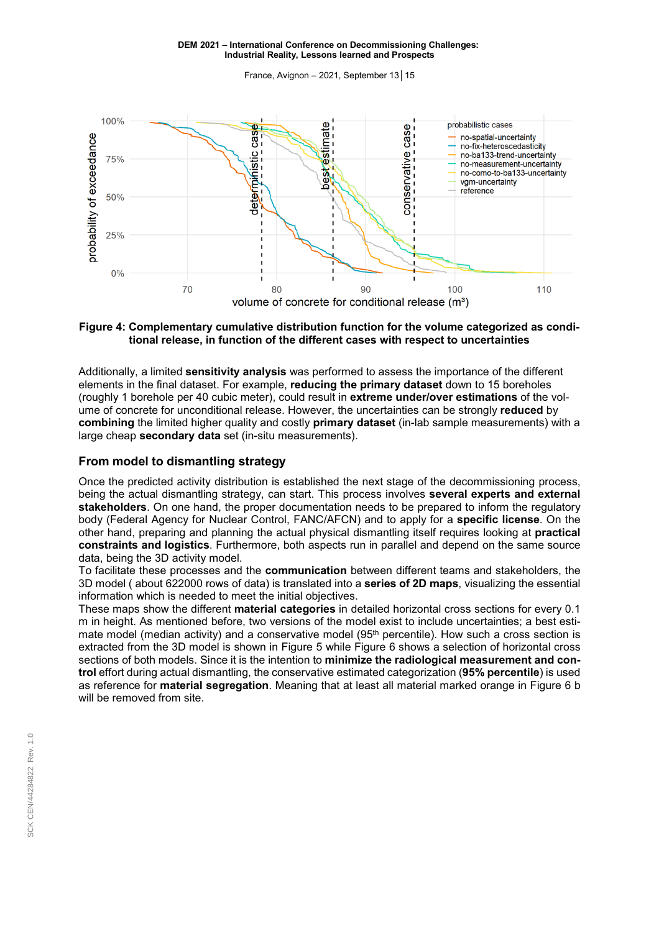France, Avignon – 2021, September 13│ 15

<span id="page-5-0"></span>

**Figure 4: Complementary cumulative distribution function for the volume categorized as conditional release, in function of the different cases with respect to uncertainties**

Additionally, a limited **sensitivity analysis** was performed to assess the importance of the different elements in the final dataset. For example, **reducing the primary dataset** down to 15 boreholes (roughly 1 borehole per 40 cubic meter), could result in **extreme under/over estimations** of the volume of concrete for unconditional release. However, the uncertainties can be strongly **reduced** by **combining** the limited higher quality and costly **primary dataset** (in-lab sample measurements) with a large cheap **secondary data** set (in-situ measurements).

## **From model to dismantling strategy**

Once the predicted activity distribution is established the next stage of the decommissioning process, being the actual dismantling strategy, can start. This process involves **several experts and external stakeholders**. On one hand, the proper documentation needs to be prepared to inform the regulatory body (Federal Agency for Nuclear Control, FANC/AFCN) and to apply for a **specific license**. On the other hand, preparing and planning the actual physical dismantling itself requires looking at **practical constraints and logistics**. Furthermore, both aspects run in parallel and depend on the same source data, being the 3D activity model.

To facilitate these processes and the **communication** between different teams and stakeholders, the 3D model ( about 622000 rows of data) is translated into a **series of 2D maps**, visualizing the essential information which is needed to meet the initial objectives.

These maps show the different **material categories** in detailed horizontal cross sections for every 0.1 m in height. As mentioned before, two versions of the model exist to include uncertainties; a best estimate model (median activity) and a conservative model (95<sup>th</sup> percentile). How such a cross section is extracted from the 3D model is shown in [Figure 5](#page-6-0) while [Figure](#page-6-0) 6 shows a selection of horizontal cross sections of both models. Since it is the intention to **minimize the radiological measurement and control** effort during actual dismantling, the conservative estimated categorization (**95% percentile**) is used as reference for **material segregation**. Meaning that at least all material marked orange in [Figure](#page-6-0) 6 b will be removed from site.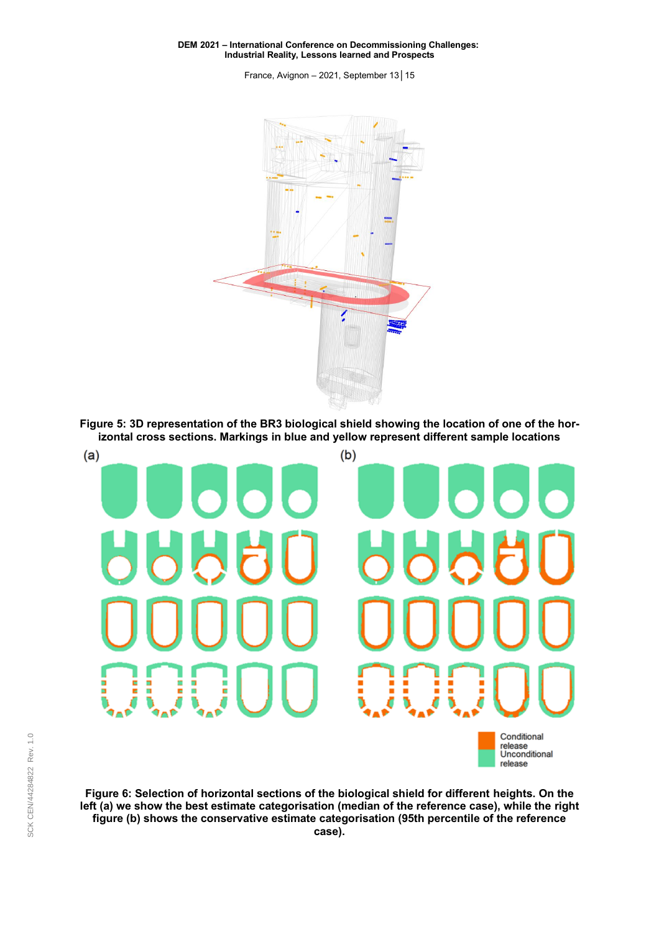France, Avignon – 2021, September 13│ 15

<span id="page-6-0"></span>

**Figure 5: 3D representation of the BR3 biological shield showing the location of one of the horizontal cross sections. Markings in blue and yellow represent different sample locations**



**Figure 6: Selection of horizontal sections of the biological shield for different heights. On the left (a) we show the best estimate categorisation (median of the reference case), while the right figure (b) shows the conservative estimate categorisation (95th percentile of the reference case).**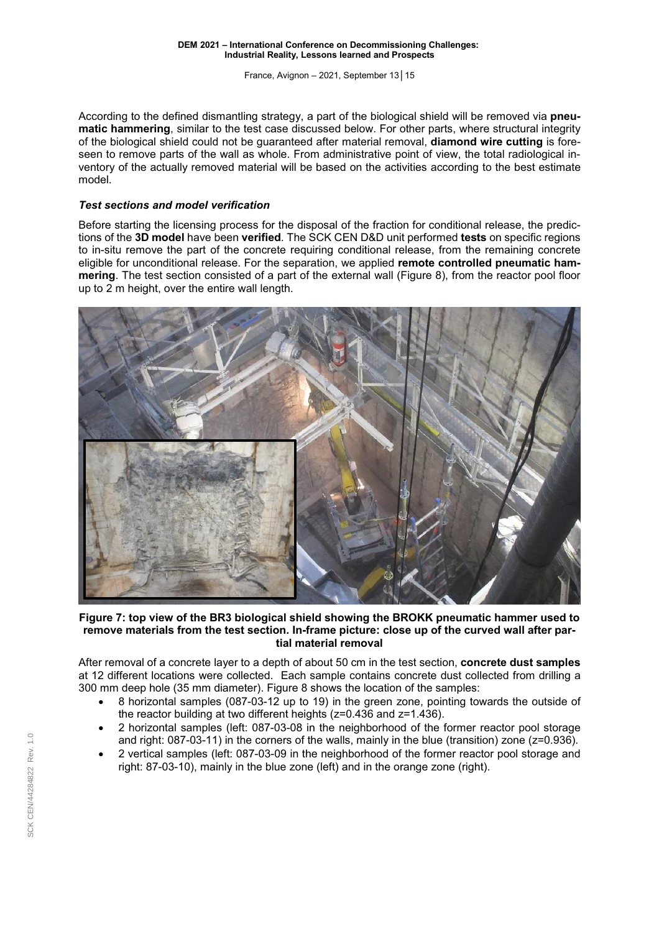France, Avignon – 2021, September 13│ 15

According to the defined dismantling strategy, a part of the biological shield will be removed via **pneumatic hammering**, similar to the test case discussed below. For other parts, where structural integrity of the biological shield could not be guaranteed after material removal, **diamond wire cutting** is foreseen to remove parts of the wall as whole. From administrative point of view, the total radiological inventory of the actually removed material will be based on the activities according to the best estimate model.

### *Test sections and model verification*

Before starting the licensing process for the disposal of the fraction for conditional release, the predictions of the **3D model** have been **verified**. The SCK CEN D&D unit performed **tests** on specific regions to in-situ remove the part of the concrete requiring conditional release, from the remaining concrete eligible for unconditional release. For the separation, we applied **remote controlled pneumatic hammering**. The test section consisted of a part of the external wall [\(Figure](#page-8-0) 8), from the reactor pool floor up to 2 m height, over the entire wall length.



**Figure 7: top view of the BR3 biological shield showing the BROKK pneumatic hammer used to remove materials from the test section. In-frame picture: close up of the curved wall after partial material removal**

After removal of a concrete layer to a depth of about 50 cm in the test section, **concrete dust samples** at 12 different locations were collected. Each sample contains concrete dust collected from drilling a 300 mm deep hole (35 mm diameter). [Figure](#page-8-0) 8 shows the location of the samples:

- 8 horizontal samples (087-03-12 up to 19) in the green zone, pointing towards the outside of the reactor building at two different heights (z=0.436 and z=1.436).
- 2 horizontal samples (left: 087-03-08 in the neighborhood of the former reactor pool storage and right: 087-03-11) in the corners of the walls, mainly in the blue (transition) zone (z=0.936).
- 2 vertical samples (left: 087-03-09 in the neighborhood of the former reactor pool storage and right: 87-03-10), mainly in the blue zone (left) and in the orange zone (right).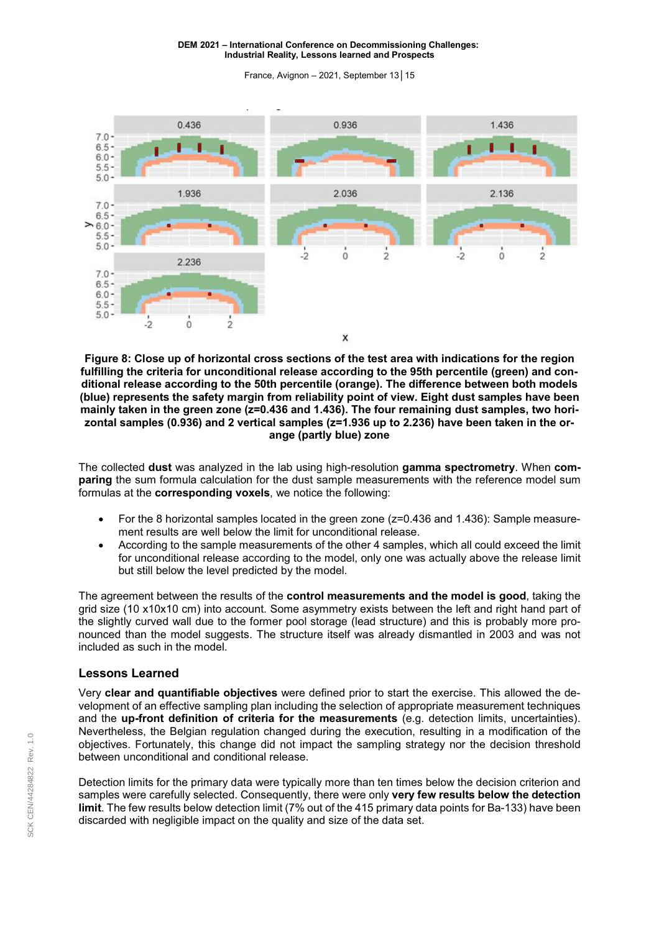France, Avignon – 2021, September 13│ 15

<span id="page-8-0"></span>

**Figure 8: Close up of horizontal cross sections of the test area with indications for the region fulfilling the criteria for unconditional release according to the 95th percentile (green) and conditional release according to the 50th percentile (orange). The difference between both models (blue) represents the safety margin from reliability point of view. Eight dust samples have been mainly taken in the green zone (z=0.436 and 1.436). The four remaining dust samples, two horizontal samples (0.936) and 2 vertical samples (z=1.936 up to 2.236) have been taken in the orange (partly blue) zone**

The collected **dust** was analyzed in the lab using high-resolution **gamma spectrometry**. When **comparing** the sum formula calculation for the dust sample measurements with the reference model sum formulas at the **corresponding voxels**, we notice the following:

- For the 8 horizontal samples located in the green zone ( $z=0.436$  and 1.436): Sample measurement results are well below the limit for unconditional release.
- According to the sample measurements of the other 4 samples, which all could exceed the limit for unconditional release according to the model, only one was actually above the release limit but still below the level predicted by the model.

The agreement between the results of the **control measurements and the model is good**, taking the grid size (10 x10x10 cm) into account. Some asymmetry exists between the left and right hand part of the slightly curved wall due to the former pool storage (lead structure) and this is probably more pronounced than the model suggests. The structure itself was already dismantled in 2003 and was not included as such in the model.

## **Lessons Learned**

Very **clear and quantifiable objectives** were defined prior to start the exercise. This allowed the development of an effective sampling plan including the selection of appropriate measurement techniques and the **up-front definition of criteria for the measurements** (e.g. detection limits, uncertainties). Nevertheless, the Belgian regulation changed during the execution, resulting in a modification of the objectives. Fortunately, this change did not impact the sampling strategy nor the decision threshold between unconditional and conditional release.

Detection limits for the primary data were typically more than ten times below the decision criterion and samples were carefully selected. Consequently, there were only **very few results below the detection limit**. The few results below detection limit (7% out of the 415 primary data points for Ba-133) have been discarded with negligible impact on the quality and size of the data set.